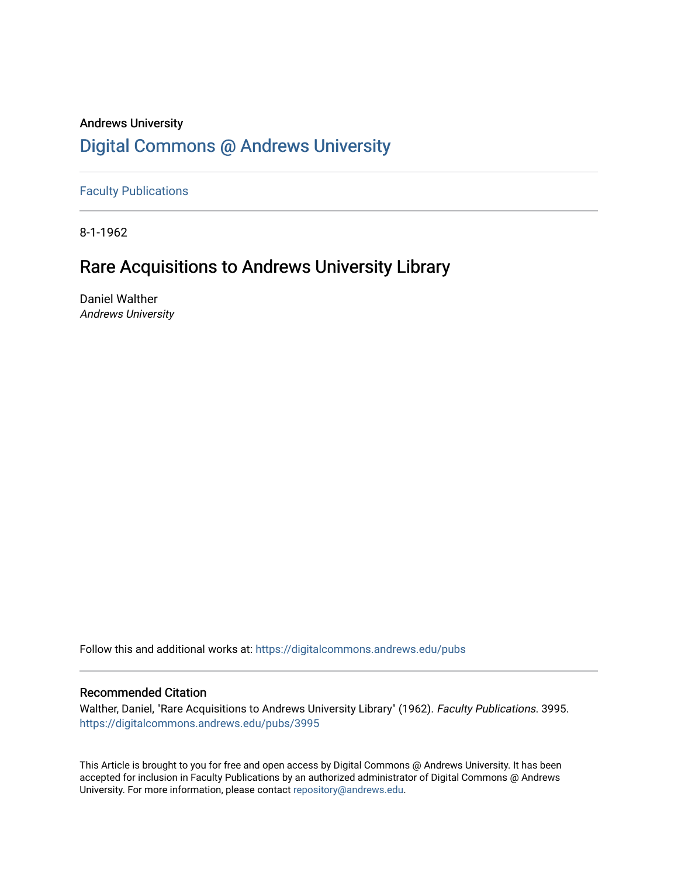# Andrews University [Digital Commons @ Andrews University](https://digitalcommons.andrews.edu/)

[Faculty Publications](https://digitalcommons.andrews.edu/pubs)

8-1-1962

# Rare Acquisitions to Andrews University Library

Daniel Walther Andrews University

Follow this and additional works at: [https://digitalcommons.andrews.edu/pubs](https://digitalcommons.andrews.edu/pubs?utm_source=digitalcommons.andrews.edu%2Fpubs%2F3995&utm_medium=PDF&utm_campaign=PDFCoverPages) 

# Recommended Citation

Walther, Daniel, "Rare Acquisitions to Andrews University Library" (1962). Faculty Publications. 3995. [https://digitalcommons.andrews.edu/pubs/3995](https://digitalcommons.andrews.edu/pubs/3995?utm_source=digitalcommons.andrews.edu%2Fpubs%2F3995&utm_medium=PDF&utm_campaign=PDFCoverPages) 

This Article is brought to you for free and open access by Digital Commons @ Andrews University. It has been accepted for inclusion in Faculty Publications by an authorized administrator of Digital Commons @ Andrews University. For more information, please contact [repository@andrews.edu](mailto:repository@andrews.edu).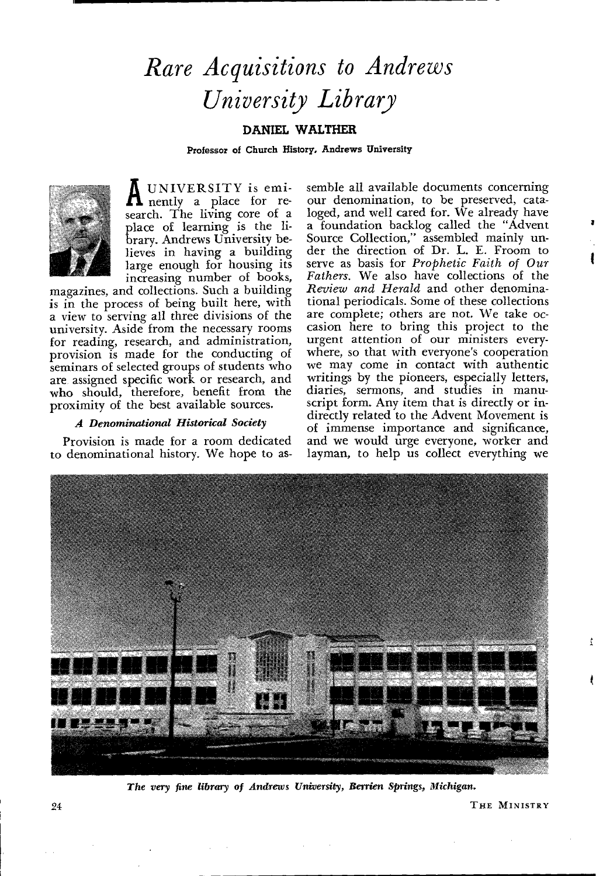# *Rare Acquisitions to Andrews University Library*

### **DANIEL WALTHER**

Professor of Church History, Andrews University



**A** UNIVERSITY is emi-nently a place for research. The living core of a place of learning is the library. Andrews University believes in having a building large enough for housing its increasing number of books,

magazines, and collections. Such a building is in the process of being built here, with a view to serving all three divisions of the university. Aside from the necessary rooms for reading, research, and administration, provision is made for the conducting of seminars of selected groups of students who are assigned specific work or research, and who should, therefore, benefit from the proximity of the best available sources.

#### *A Denominational Historical Society*

Provision is made for a room dedicated to denominational history. We hope to assemble all available documents concerning our denomination, to be preserved, cataloged, and well cared for. We already have a foundation backlog called the "Advent Source Collection," assembled mainly under the direction of Dr. L. E. Froom to serve as basis for *Prophetic Faith of Our Fathers.* We also have collections of the *Review and Herald* and other denominational periodicals. Some of these collections are complete; others are not. We take occasion here to bring this project to the urgent attention of our ministers everywhere, so that with everyone's cooperation we may come in contact with authentic writings by the pioneers, especially letters, diaries, sermons, and studies in manuscript form. Any item that is directly or indirectly related to the Advent Movement is of immense importance and significance, and we would urge everyone, worker and layman, to help us collect everything we



*The very fine library of Andrews University, Berrien Springs, Michigan.* 

24 **THE MINISTRY**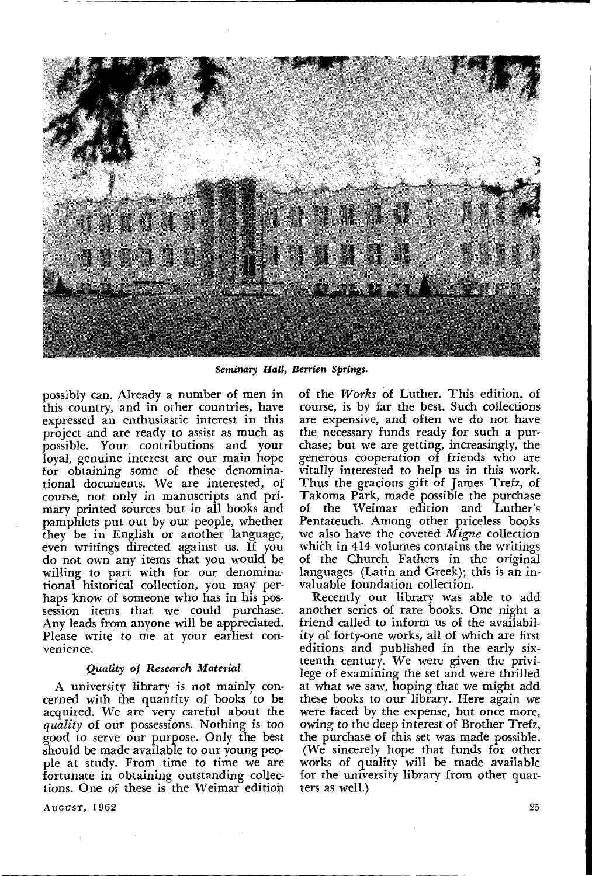

*Seminary Hall, Berrien* Springs.

possibly can. Already a number of men in this country, and in other countries, have expressed an enthusiastic interest in this project and are ready to assist as much as possible. Your contributions and your loyal, genuine interest are our main hope for obtaining some of these denominational documents. We are interested, of course, not only in manuscripts and primary printed sources but in all books and pamphlets put out by our people, whether they be in English or another language, even writings directed against us. If you do not own any items that you would be willing to part with for our denominational historical collection, you may perhaps know of someone who has in his possession items that we could purchase. Any leads from anyone will be appreciated. Please write to me at your earliest convenience.

#### *Quality of Research Material*

A university library is not mainly concerned with the quantity of books to be acquired. We are very careful about the *quality* of our possessions. Nothing is too good to serve our purpose. Only the best should be made available to our young people at study. From time to time we are fortunate in obtaining outstanding collections. One of these is the Weimar edition

AUGUST, 1962

of the *Works* of Luther. This edition, of course, is by far the best. Such collections are expensive, and often we do not have the necessary funds ready for such a purchase; but we are getting, increasingly, the generous cooperation of friends who are vitally interested to help us in this work. Thus the gracious gift of James Trefz, of Takoma Park, made possible the purchase of the Weimar edition and Luther's Pentateuch. Among other priceless books we also have the coveted *Migne* collection which in 414 volumes contains the writings of the Church Fathers in the original languages (Latin and Greek); this is an invaluable foundation collection.

Recently our library was able to add another series of rare books. One night a friend called to inform us of the availability of forty-one works, all of which are first editions and published in the early sixteenth century. We were given the privilege of examining the set and were thrilled at what we saw, hoping that we might add these books to our library. Here again we were faced by the expense, but once more, owing to the deep interest of Brother Trefz, the purchase of this set was made possible. (We sincerely hope that funds for other works of quality will be made available for the university library from other quarters as well.)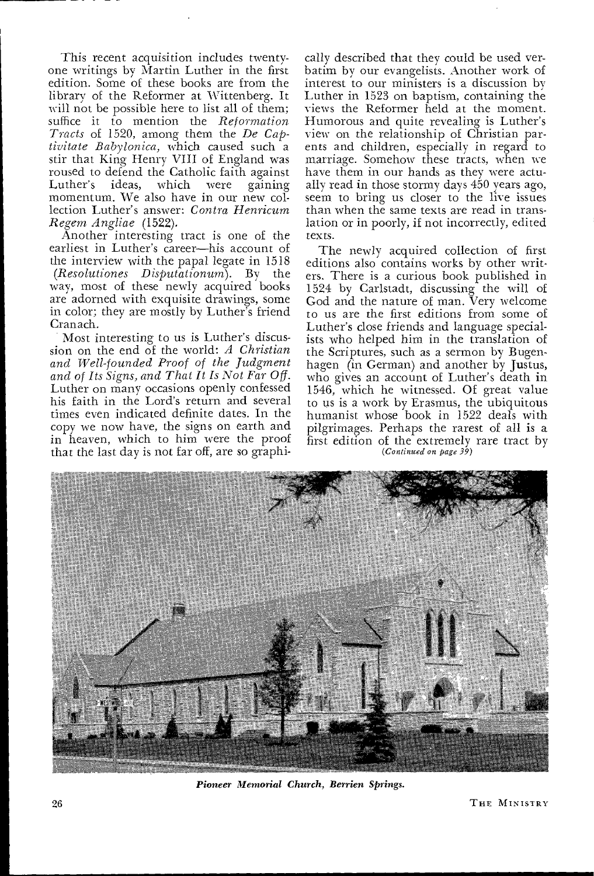This recent acquisition includes twentyone writings by Martin Luther in the first edition. Some of these books are from the library of the Reformer at Wittenberg. It will not be possible here to list all of them; suffice it to mention the *Reformation Tracts* of 1520, among them the *De Cap*tivitate Babylonica, which caused such a stir that King Henry VIII of England was roused to defend the Catholic faith against<br>Luther's ideas, which were gaining gaining momentum. We also have in our new collection Luther's answer: *Contra Henricum Regem Angliae* (1522).

Another interesting tract is one of the earliest in Luther's career—his account of the interview with the papal legate in 1518 *(Resolutiones Disputationum).* By the way, most of these newly acquired books are adorned with exquisite drawings, some in color; they are mostly by Luther's friend Cranach.

Most interesting to us is Luther's discussion on the end of the world: *A Christian and Well-founded Proof of the Judgment and of Its Signs, and That It Is Not Far Of.*  Luther on many occasions openly confessed his faith in the Lord's return and several times even indicated definite dates. In the copy we now have, the signs on earth and in heaven, which to him were the proof that the last day is not far off, are so graphi-

cally described that they could be used verbatim by our evangelists. Another work of interest to our ministers is a discussion by Luther in 1523 on baptism, containing the views the Reformer held at the moment. Humorous and quite revealing is Luther's view on the relationship of Christian parents and children, especially in regard to marriage. Somehow these tracts, when we have them in our hands as they were actually read in those stormy days 450 years ago, seem to bring us closer to the live issues than when the same texts are read in translation or in poorly, if not incorrectly, edited texts.

The newly acquired collection of first editions also contains works by other writers. There is a curious book published in 1524 by Carlstadt, discussing the will of God and the nature of man. Very welcome to us are the first editions from some of Luther's close friends and language specialists who helped him in the translation of the Scriptures, such as a sermon by Bugenhagen (in German) and another by Justus, who gives an account of Luther's death in 1546, which he witnessed. Of great value to us is a work by Erasmus, the ubiquitous humanist whose book in 1522 deals with pilgrimages. Perhaps the rarest of all is a first edition of the extremely rare tract by *(Continued on page 39)* 



*Pioneer Memorial Church, Berrien Springs.*